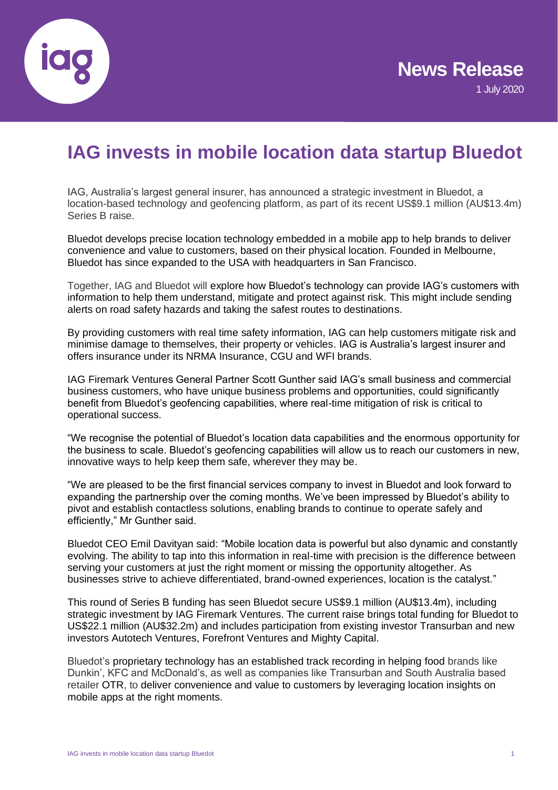

# **IAG invests in mobile location data startup Bluedot**

IAG, Australia's largest general insurer, has announced a strategic investment in Bluedot, a location-based technology and geofencing platform, as part of its recent US\$9.1 million (AU\$13.4m) Series B raise.

Bluedot develops precise location technology embedded in a mobile app to help brands to deliver convenience and value to customers, based on their physical location. Founded in Melbourne, Bluedot has since expanded to the USA with headquarters in San Francisco.

Together, IAG and Bluedot will explore how Bluedot's technology can provide IAG's customers with information to help them understand, mitigate and protect against risk. This might include sending alerts on road safety hazards and taking the safest routes to destinations.

By providing customers with real time safety information, IAG can help customers mitigate risk and minimise damage to themselves, their property or vehicles. IAG is Australia's largest insurer and offers insurance under its NRMA Insurance, CGU and WFI brands.

IAG Firemark Ventures General Partner Scott Gunther said IAG's small business and commercial business customers, who have unique business problems and opportunities, could significantly benefit from Bluedot's geofencing capabilities, where real-time mitigation of risk is critical to operational success.

"We recognise the potential of Bluedot's location data capabilities and the enormous opportunity for the business to scale. Bluedot's geofencing capabilities will allow us to reach our customers in new, innovative ways to help keep them safe, wherever they may be.

"We are pleased to be the first financial services company to invest in Bluedot and look forward to expanding the partnership over the coming months. We've been impressed by Bluedot's ability to pivot and establish contactless solutions, enabling brands to continue to operate safely and efficiently," Mr Gunther said.

Bluedot CEO Emil Davityan said: "Mobile location data is powerful but also dynamic and constantly evolving. The ability to tap into this information in real-time with precision is the difference between serving your customers at just the right moment or missing the opportunity altogether. As businesses strive to achieve differentiated, brand-owned experiences, location is the catalyst."

This round of Series B funding has seen Bluedot secure US\$9.1 million (AU\$13.4m), including strategic investment by IAG Firemark Ventures. The current raise brings total funding for Bluedot to US\$22.1 million (AU\$32.2m) and includes participation from existing investor Transurban and new investors Autotech Ventures, Forefront Ventures and Mighty Capital.

Bluedot's proprietary technology has an established track recording in helping food brands like Dunkin', KFC and McDonald's, as well as companies like Transurban and South Australia based retailer [OTR,](https://www.ontherun.com.au/about-us/) to deliver convenience and value to customers by leveraging location insights on mobile apps at the right moments.